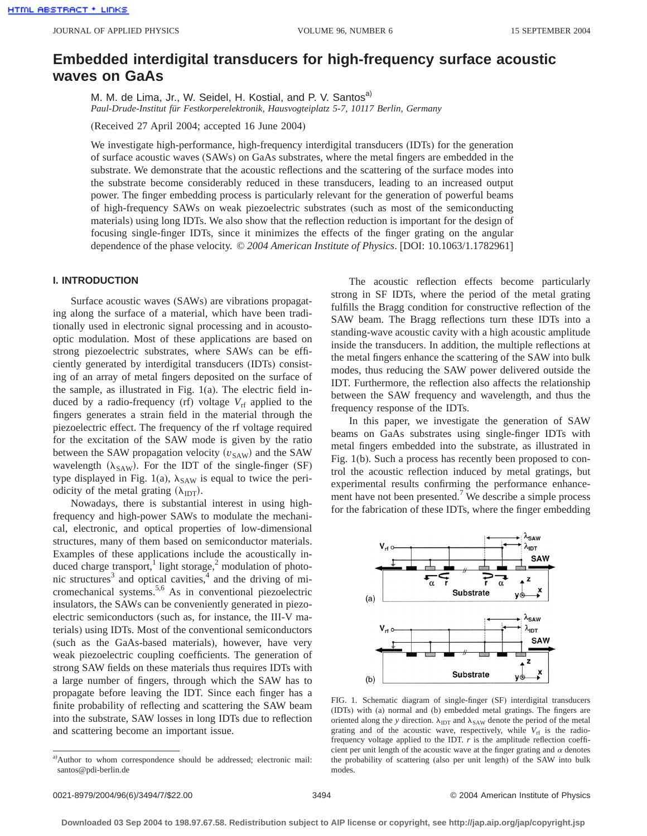# **Embedded interdigital transducers for high-frequency surface acoustic waves on GaAs**

M. M. de Lima, Jr., W. Seidel, H. Kostial, and P. V. Santos<sup>a)</sup> *Paul-Drude-Institut für Festkorperelektronik, Hausvogteiplatz 5-7, 10117 Berlin, Germany*

(Received 27 April 2004; accepted 16 June 2004)

We investigate high-performance, high-frequency interdigital transducers (IDTs) for the generation of surface acoustic waves (SAWs) on GaAs substrates, where the metal fingers are embedded in the substrate. We demonstrate that the acoustic reflections and the scattering of the surface modes into the substrate become considerably reduced in these transducers, leading to an increased output power. The finger embedding process is particularly relevant for the generation of powerful beams of high-frequency SAWs on weak piezoelectric substrates (such as most of the semiconducting materials) using long IDTs. We also show that the reflection reduction is important for the design of focusing single-finger IDTs, since it minimizes the effects of the finger grating on the angular dependence of the phase velocity. © *2004 American Institute of Physics*. [DOI: 10.1063/1.1782961]

# **I. INTRODUCTION**

Surface acoustic waves (SAWs) are vibrations propagating along the surface of a material, which have been traditionally used in electronic signal processing and in acoustooptic modulation. Most of these applications are based on strong piezoelectric substrates, where SAWs can be efficiently generated by interdigital transducers (IDTs) consisting of an array of metal fingers deposited on the surface of the sample, as illustrated in Fig. 1(a). The electric field induced by a radio-frequency (rf) voltage  $V_{\text{rf}}$  applied to the fingers generates a strain field in the material through the piezoelectric effect. The frequency of the rf voltage required for the excitation of the SAW mode is given by the ratio between the SAW propagation velocity  $(v_{SAW})$  and the SAW wavelength  $(\lambda_{SAW})$ . For the IDT of the single-finger (SF) type displayed in Fig. 1(a),  $\lambda_{SAW}$  is equal to twice the periodicity of the metal grating  $(\lambda_{\text{IDT}})$ .

Nowadays, there is substantial interest in using highfrequency and high-power SAWs to modulate the mechanical, electronic, and optical properties of low-dimensional structures, many of them based on semiconductor materials. Examples of these applications include the acoustically induced charge transport,<sup>1</sup> light storage,<sup>2</sup> modulation of photonic structures<sup>3</sup> and optical cavities, $4$  and the driving of micromechanical systems.5,6 As in conventional piezoelectric insulators, the SAWs can be conveniently generated in piezoelectric semiconductors (such as, for instance, the III-V materials) using IDTs. Most of the conventional semiconductors (such as the GaAs-based materials), however, have very weak piezoelectric coupling coefficients. The generation of strong SAW fields on these materials thus requires IDTs with a large number of fingers, through which the SAW has to propagate before leaving the IDT. Since each finger has a finite probability of reflecting and scattering the SAW beam into the substrate, SAW losses in long IDTs due to reflection and scattering become an important issue.

a)Author to whom correspondence should be addressed; electronic mail: santos@pdi-berlin.de

The acoustic reflection effects become particularly strong in SF IDTs, where the period of the metal grating fulfills the Bragg condition for constructive reflection of the SAW beam. The Bragg reflections turn these IDTs into a standing-wave acoustic cavity with a high acoustic amplitude inside the transducers. In addition, the multiple reflections at the metal fingers enhance the scattering of the SAW into bulk modes, thus reducing the SAW power delivered outside the IDT. Furthermore, the reflection also affects the relationship between the SAW frequency and wavelength, and thus the frequency response of the IDTs.

In this paper, we investigate the generation of SAW beams on GaAs substrates using single-finger IDTs with metal fingers embedded into the substrate, as illustrated in Fig. 1(b). Such a process has recently been proposed to control the acoustic reflection induced by metal gratings, but experimental results confirming the performance enhancement have not been presented.<sup>7</sup> We describe a simple process for the fabrication of these IDTs, where the finger embedding



FIG. 1. Schematic diagram of single-finger (SF) interdigital transducers (IDTs) with (a) normal and (b) embedded metal gratings. The fingers are oriented along the *y* direction.  $\lambda_{\text{IDT}}$  and  $\lambda_{\text{SAW}}$  denote the period of the metal grating and of the acoustic wave, respectively, while  $V_{\text{rf}}$  is the radiofrequency voltage applied to the IDT. *r* is the amplitude reflection coefficient per unit length of the acoustic wave at the finger grating and  $\alpha$  denotes the probability of scattering (also per unit length) of the SAW into bulk modes.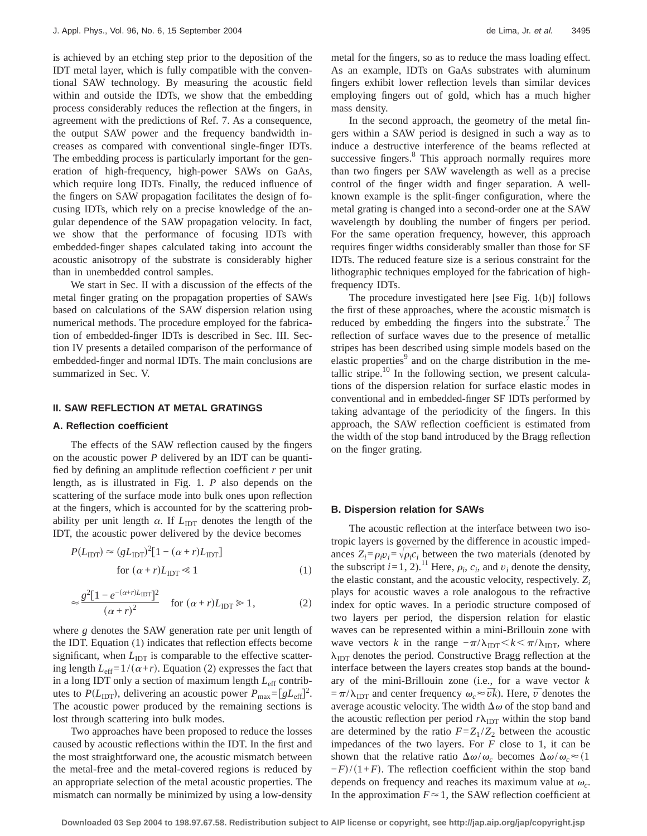is achieved by an etching step prior to the deposition of the IDT metal layer, which is fully compatible with the conventional SAW technology. By measuring the acoustic field within and outside the IDTs, we show that the embedding process considerably reduces the reflection at the fingers, in agreement with the predictions of Ref. 7. As a consequence, the output SAW power and the frequency bandwidth increases as compared with conventional single-finger IDTs. The embedding process is particularly important for the generation of high-frequency, high-power SAWs on GaAs, which require long IDTs. Finally, the reduced influence of the fingers on SAW propagation facilitates the design of focusing IDTs, which rely on a precise knowledge of the angular dependence of the SAW propagation velocity. In fact, we show that the performance of focusing IDTs with embedded-finger shapes calculated taking into account the acoustic anisotropy of the substrate is considerably higher than in unembedded control samples.

We start in Sec. II with a discussion of the effects of the metal finger grating on the propagation properties of SAWs based on calculations of the SAW dispersion relation using numerical methods. The procedure employed for the fabrication of embedded-finger IDTs is described in Sec. III. Section IV presents a detailed comparison of the performance of embedded-finger and normal IDTs. The main conclusions are summarized in Sec. V.

#### **II. SAW REFLECTION AT METAL GRATINGS**

#### **A. Reflection coefficient**

The effects of the SAW reflection caused by the fingers on the acoustic power *P* delivered by an IDT can be quantified by defining an amplitude reflection coefficient *r* per unit length, as is illustrated in Fig. 1. *P* also depends on the scattering of the surface mode into bulk ones upon reflection at the fingers, which is accounted for by the scattering probability per unit length  $\alpha$ . If  $L_{\text{IDT}}$  denotes the length of the IDT, the acoustic power delivered by the device becomes

$$
P(L_{\text{IDT}}) \approx (gL_{\text{IDT}})^{2}[1 - (\alpha + r)L_{\text{IDT}}]
$$
  
for  $(\alpha + r)L_{\text{IDT}} \le 1$  (1)

$$
\approx \frac{g^2[1 - e^{-(\alpha + r)L_{\text{IDT}}}]^2}{(\alpha + r)^2} \quad \text{for } (\alpha + r)L_{\text{IDT}} \gg 1,
$$
 (2)

where *g* denotes the SAW generation rate per unit length of the IDT. Equation (1) indicates that reflection effects become significant, when  $L<sub>IDT</sub>$  is comparable to the effective scattering length  $L_{\text{eff}}=1/(\alpha+r)$ . Equation (2) expresses the fact that in a long IDT only a section of maximum length *L*<sub>eff</sub> contributes to  $P(L_{\text{IDT}})$ , delivering an acoustic power  $P_{\text{max}}=[gL_{\text{eff}}]^2$ . The acoustic power produced by the remaining sections is lost through scattering into bulk modes.

Two approaches have been proposed to reduce the losses caused by acoustic reflections within the IDT. In the first and the most straightforward one, the acoustic mismatch between the metal-free and the metal-covered regions is reduced by an appropriate selection of the metal acoustic properties. The mismatch can normally be minimized by using a low-density metal for the fingers, so as to reduce the mass loading effect. As an example, IDTs on GaAs substrates with aluminum fingers exhibit lower reflection levels than similar devices employing fingers out of gold, which has a much higher mass density.

In the second approach, the geometry of the metal fingers within a SAW period is designed in such a way as to induce a destructive interference of the beams reflected at successive fingers.<sup>8</sup> This approach normally requires more than two fingers per SAW wavelength as well as a precise control of the finger width and finger separation. A wellknown example is the split-finger configuration, where the metal grating is changed into a second-order one at the SAW wavelength by doubling the number of fingers per period. For the same operation frequency, however, this approach requires finger widths considerably smaller than those for SF IDTs. The reduced feature size is a serious constraint for the lithographic techniques employed for the fabrication of highfrequency IDTs.

The procedure investigated here [see Fig. 1(b)] follows the first of these approaches, where the acoustic mismatch is reduced by embedding the fingers into the substrate.<sup>7</sup> The reflection of surface waves due to the presence of metallic stripes has been described using simple models based on the elastic properties<sup>9</sup> and on the charge distribution in the metallic stripe. $^{10}$  In the following section, we present calculations of the dispersion relation for surface elastic modes in conventional and in embedded-finger SF IDTs performed by taking advantage of the periodicity of the fingers. In this approach, the SAW reflection coefficient is estimated from the width of the stop band introduced by the Bragg reflection on the finger grating.

# **B. Dispersion relation for SAWs**

The acoustic reflection at the interface between two isotropic layers is governed by the difference in acoustic impedances  $Z_i = \rho_i v_i = \sqrt{\rho_i c_i}$  between the two materials (denoted by the subscript  $i=1, 2$ ).<sup>11</sup> Here,  $\rho_i$ ,  $c_i$ , and  $v_i$  denote the density, the elastic constant, and the acoustic velocity, respectively. *Zi* plays for acoustic waves a role analogous to the refractive index for optic waves. In a periodic structure composed of two layers per period, the dispersion relation for elastic waves can be represented within a mini-Brillouin zone with wave vectors *k* in the range  $-\pi/\lambda_{\text{IDT}} < k < \pi/\lambda_{\text{IDT}}$ , where  $\lambda_{\text{IDT}}$  denotes the period. Constructive Bragg reflection at the interface between the layers creates stop bands at the boundary of the mini-Brillouin zone (i.e., for a wave vector *k*  $=\pi/\lambda_{\text{IDT}}$  and center frequency  $\omega_c \approx \bar{v}k$ ). Here,  $\bar{v}$  denotes the average acoustic velocity. The width  $\Delta\omega$  of the stop band and the acoustic reflection per period  $r\lambda_{\text{IDT}}$  within the stop band are determined by the ratio  $F = Z_1 / Z_2$  between the acoustic impedances of the two layers. For *F* close to 1, it can be shown that the relative ratio  $\Delta \omega / \omega_c$  becomes  $\Delta \omega / \omega_c \approx (1$  $-F$  $/(1+F)$ . The reflection coefficient within the stop band depends on frequency and reaches its maximum value at  $\omega_c$ . In the approximation  $F \approx 1$ , the SAW reflection coefficient at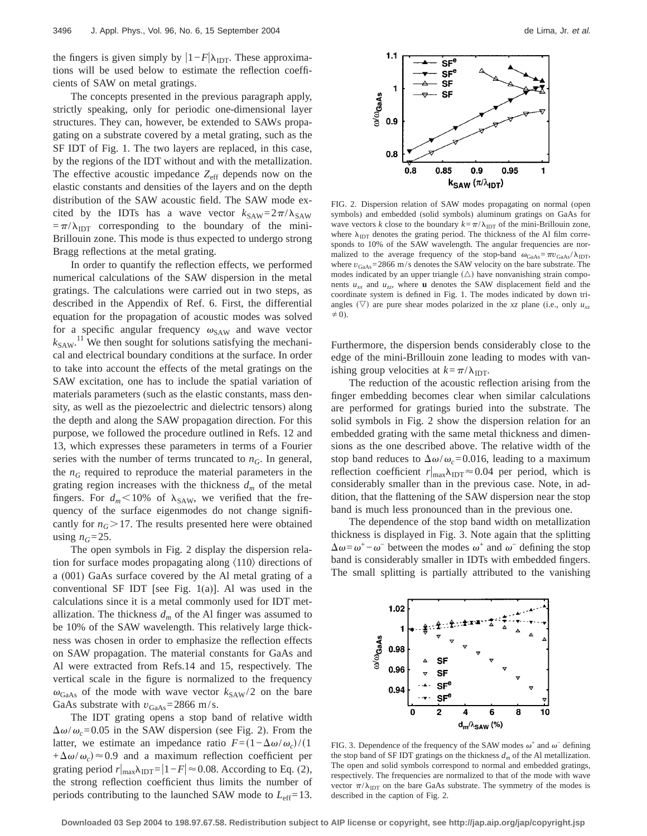the fingers is given simply by  $|1-F|\lambda_{\text{IDT}}$ . These approximations will be used below to estimate the reflection coefficients of SAW on metal gratings.

The concepts presented in the previous paragraph apply, strictly speaking, only for periodic one-dimensional layer structures. They can, however, be extended to SAWs propagating on a substrate covered by a metal grating, such as the SF IDT of Fig. 1. The two layers are replaced, in this case, by the regions of the IDT without and with the metallization. The effective acoustic impedance  $Z_{\text{eff}}$  depends now on the elastic constants and densities of the layers and on the depth distribution of the SAW acoustic field. The SAW mode excited by the IDTs has a wave vector  $k_{SAW} = 2\pi/\lambda_{SAW}$  $=\pi/\lambda_{\text{IDT}}$  corresponding to the boundary of the mini-Brillouin zone. This mode is thus expected to undergo strong Bragg reflections at the metal grating.

In order to quantify the reflection effects, we performed numerical calculations of the SAW dispersion in the metal gratings. The calculations were carried out in two steps, as described in the Appendix of Ref. 6. First, the differential equation for the propagation of acoustic modes was solved for a specific angular frequency  $\omega_{\text{SAW}}$  and wave vector  $k_{SAW}$ .<sup>11</sup> We then sought for solutions satisfying the mechanical and electrical boundary conditions at the surface. In order to take into account the effects of the metal gratings on the SAW excitation, one has to include the spatial variation of materials parameters (such as the elastic constants, mass density, as well as the piezoelectric and dielectric tensors) along the depth and along the SAW propagation direction. For this purpose, we followed the procedure outlined in Refs. 12 and 13, which expresses these parameters in terms of a Fourier series with the number of terms truncated to  $n<sub>G</sub>$ . In general, the  $n<sub>G</sub>$  required to reproduce the material parameters in the grating region increases with the thickness  $d_m$  of the metal fingers. For  $d_m < 10\%$  of  $\lambda_{SAW}$ , we verified that the frequency of the surface eigenmodes do not change significantly for  $n_G$ >17. The results presented here were obtained using  $n_G = 25$ .

The open symbols in Fig. 2 display the dispersion relation for surface modes propagating along  $\langle 110 \rangle$  directions of a (001) GaAs surface covered by the Al metal grating of a conventional SF IDT [see Fig.  $1(a)$ ]. Al was used in the calculations since it is a metal commonly used for IDT metallization. The thickness  $d_m$  of the Al finger was assumed to be 10% of the SAW wavelength. This relatively large thickness was chosen in order to emphasize the reflection effects on SAW propagation. The material constants for GaAs and Al were extracted from Refs.14 and 15, respectively. The vertical scale in the figure is normalized to the frequency  $\omega_{\text{GaAs}}$  of the mode with wave vector  $k_{\text{SAW}}/2$  on the bare GaAs substrate with  $v_{\text{GaAs}} = 2866 \text{ m/s}.$ 

The IDT grating opens a stop band of relative width  $\Delta\omega/\omega_c$ =0.05 in the SAW dispersion (see Fig. 2). From the latter, we estimate an impedance ratio  $F=(1-\Delta\omega/\omega_c)/(1$  $+\Delta\omega/\omega_c$   $\approx$  0.9 and a maximum reflection coefficient per grating period  $r|_{\text{max}}\lambda_{\text{IDT}} = |1 - F| \approx 0.08$ . According to Eq. (2), the strong reflection coefficient thus limits the number of periods contributing to the launched SAW mode to  $L_{\text{eff}}$ =13.



FIG. 2. Dispersion relation of SAW modes propagating on normal (open symbols) and embedded (solid symbols) aluminum gratings on GaAs for wave vectors *k* close to the boundary  $k = \pi/\lambda_{\text{IDT}}$  of the mini-Brillouin zone, where  $\lambda_{\text{IDT}}$  denotes the grating period. The thickness of the Al film corresponds to 10% of the SAW wavelength. The angular frequencies are normalized to the average frequency of the stop-band  $\omega_{\text{GaAs}} = \pi v_{\text{GaAs}} / \lambda_{\text{IDT}}$ , where  $v_{GaAs} = 2866$  m/s denotes the SAW velocity on the bare substrate. The modes indicated by an upper triangle  $(\triangle)$  have nonvanishing strain components  $u_{xx}$  and  $u_{zz}$ , where **u** denotes the SAW displacement field and the coordinate system is defined in Fig. 1. The modes indicated by down triangles  $(\nabla)$  are pure shear modes polarized in the *xz* plane (i.e., only  $u_{xz}$  $\neq$  0).

Furthermore, the dispersion bends considerably close to the edge of the mini-Brillouin zone leading to modes with vanishing group velocities at  $k = \pi/\lambda_{\text{IDT}}$ .

The reduction of the acoustic reflection arising from the finger embedding becomes clear when similar calculations are performed for gratings buried into the substrate. The solid symbols in Fig. 2 show the dispersion relation for an embedded grating with the same metal thickness and dimensions as the one described above. The relative width of the stop band reduces to  $\Delta\omega/\omega_c$ =0.016, leading to a maximum reflection coefficient  $r|_{\text{max}}\lambda_{\text{IDT}} \approx 0.04$  per period, which is considerably smaller than in the previous case. Note, in addition, that the flattening of the SAW dispersion near the stop band is much less pronounced than in the previous one.

The dependence of the stop band width on metallization thickness is displayed in Fig. 3. Note again that the splitting  $\Delta \omega = \omega^+ - \omega^-$  between the modes  $\omega^+$  and  $\omega^-$  defining the stop band is considerably smaller in IDTs with embedded fingers. The small splitting is partially attributed to the vanishing



FIG. 3. Dependence of the frequency of the SAW modes  $\omega^+$  and  $\omega^-$  defining the stop band of SF IDT gratings on the thickness  $d_m$  of the Al metallization. The open and solid symbols correspond to normal and embedded gratings, respectively. The frequencies are normalized to that of the mode with wave vector  $\pi/\lambda_{\text{IDT}}$  on the bare GaAs substrate. The symmetry of the modes is described in the caption of Fig. 2.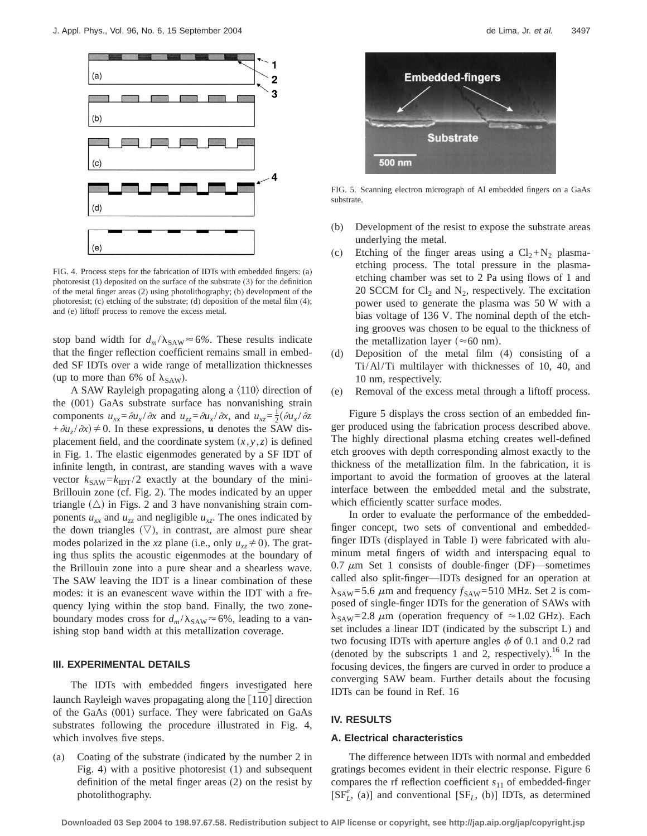

FIG. 4. Process steps for the fabrication of IDTs with embedded fingers: (a) photoresist (1) deposited on the surface of the substrate (3) for the definition of the metal finger areas (2) using photolithography; (b) development of the photoresist; (c) etching of the substrate; (d) deposition of the metal film (4); and (e) liftoff process to remove the excess metal.

stop band width for  $d_m/\lambda_{SAW} \approx 6\%$ . These results indicate that the finger reflection coefficient remains small in embedded SF IDTs over a wide range of metallization thicknesses (up to more than 6% of  $\lambda_{SAW}$ ).

A SAW Rayleigh propagating along a  $\langle 110 \rangle$  direction of the (001) GaAs substrate surface has nonvanishing strain components  $u_{xx} = \partial u_x / \partial x$  and  $u_{zz} = \partial u_x / \partial x$ , and  $u_{xz} = \frac{1}{2} (\partial u_x / \partial z)$  $+\partial u_z/\partial x \neq 0$ . In these expressions, **u** denotes the SAW displacement field, and the coordinate system  $(x, y, z)$  is defined in Fig. 1. The elastic eigenmodes generated by a SF IDT of infinite length, in contrast, are standing waves with a wave vector  $k_{SAW} = k_{IDT}/2$  exactly at the boundary of the mini-Brillouin zone (cf. Fig. 2). The modes indicated by an upper triangle  $(\triangle)$  in Figs. 2 and 3 have nonvanishing strain components  $u_{xx}$  and  $u_{zz}$  and negligible  $u_{xz}$ . The ones indicated by the down triangles  $(\nabla)$ , in contrast, are almost pure shear modes polarized in the *xz* plane (i.e., only  $u_{xz} \neq 0$ ). The grating thus splits the acoustic eigenmodes at the boundary of the Brillouin zone into a pure shear and a shearless wave. The SAW leaving the IDT is a linear combination of these modes: it is an evanescent wave within the IDT with a frequency lying within the stop band. Finally, the two zoneboundary modes cross for  $d_m/\lambda_{\text{SAW}} \approx 6\%$ , leading to a vanishing stop band width at this metallization coverage.

### **III. EXPERIMENTAL DETAILS**

The IDTs with embedded fingers investigated here launch Rayleigh waves propagating along the [110] direction of the GaAs (001) surface. They were fabricated on GaAs substrates following the procedure illustrated in Fig. 4, which involves five steps.

(a) Coating of the substrate (indicated by the number 2 in Fig. 4) with a positive photoresist (1) and subsequent definition of the metal finger areas (2) on the resist by photolithography.



FIG. 5. Scanning electron micrograph of Al embedded fingers on a GaAs substrate.

- (b) Development of the resist to expose the substrate areas underlying the metal.
- (c) Etching of the finger areas using a  $Cl_2+N_2$  plasmaetching process. The total pressure in the plasmaetching chamber was set to 2 Pa using flows of 1 and 20 SCCM for  $Cl_2$  and  $N_2$ , respectively. The excitation power used to generate the plasma was 50 W with a bias voltage of 136 V. The nominal depth of the etching grooves was chosen to be equal to the thickness of the metallization layer ( $\approx 60$  nm).
- (d) Deposition of the metal film (4) consisting of a Ti/Al/Ti multilayer with thicknesses of 10, 40, and 10 nm, respectively.
- (e) Removal of the excess metal through a liftoff process.

Figure 5 displays the cross section of an embedded finger produced using the fabrication process described above. The highly directional plasma etching creates well-defined etch grooves with depth corresponding almost exactly to the thickness of the metallization film. In the fabrication, it is important to avoid the formation of grooves at the lateral interface between the embedded metal and the substrate, which efficiently scatter surface modes.

In order to evaluate the performance of the embeddedfinger concept, two sets of conventional and embeddedfinger IDTs (displayed in Table I) were fabricated with aluminum metal fingers of width and interspacing equal to 0.7  $\mu$ m Set 1 consists of double-finger (DF)—sometimes called also split-finger—IDTs designed for an operation at  $\lambda_{SAW}$ =5.6  $\mu$ m and frequency  $f_{SAW}$ =510 MHz. Set 2 is composed of single-finger IDTs for the generation of SAWs with  $\lambda_{\text{SAW}}$ =2.8  $\mu$ m (operation frequency of  $\approx$ 1.02 GHz). Each set includes a linear IDT (indicated by the subscript L) and two focusing IDTs with aperture angles  $\phi$  of 0.1 and 0.2 rad (denoted by the subscripts 1 and 2, respectively).<sup>16</sup> In the focusing devices, the fingers are curved in order to produce a converging SAW beam. Further details about the focusing IDTs can be found in Ref. 16

# **IV. RESULTS**

#### **A. Electrical characteristics**

The difference between IDTs with normal and embedded gratings becomes evident in their electric response. Figure 6 compares the rf reflection coefficient *s*<sup>11</sup> of embedded-finger  $[SF_L^e, (a)]$  and conventional  $[SF_L, (b)]$  IDTs, as determined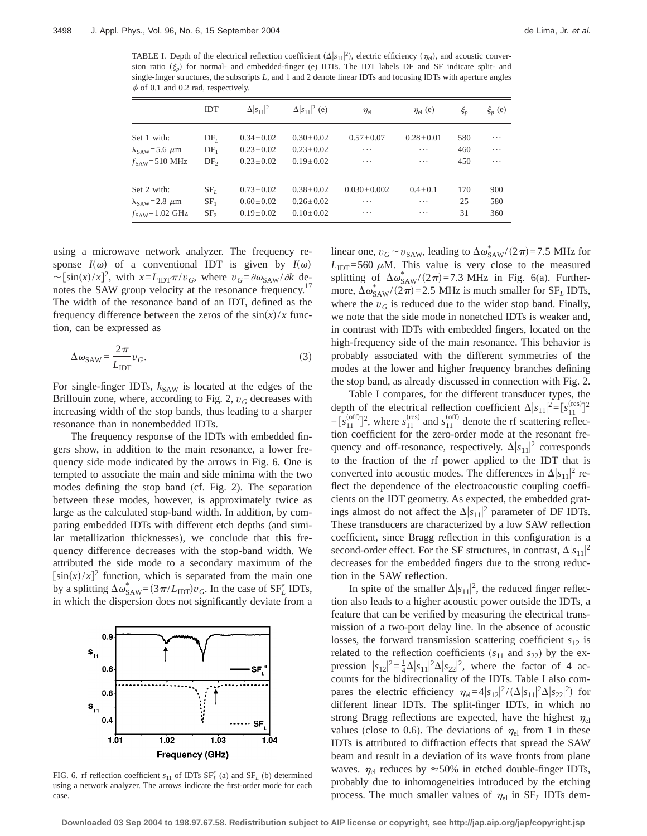TABLE I. Depth of the electrical reflection coefficient  $(\Delta |s_{11}|^2)$ , electric efficiency  $(\eta_{el})$ , and acoustic conversion ratio  $(\xi_n)$  for normal- and embedded-finger (e) IDTs. The IDT labels DF and SF indicate split- and single-finger structures, the subscripts *L*, and 1 and 2 denote linear IDTs and focusing IDTs with aperture angles  $\phi$  of 0.1 and 0.2 rad, respectively.

|                                     | <b>IDT</b>      | $\Delta  s_{11} ^2$ | $\Delta  s_{11} ^2$ (e) | $\eta_{\rm el}$ | $\eta_{\rm el}$ (e) | $\xi_{p}$ | $\xi_p$ (e) |
|-------------------------------------|-----------------|---------------------|-------------------------|-----------------|---------------------|-----------|-------------|
| Set 1 with:                         | DF <sub>I</sub> | $0.34 \pm 0.02$     | $0.30 \pm 0.02$         | $0.57 + 0.07$   | $0.28 \pm 0.01$     | 580       | $\cdots$    |
| $\lambda_{\text{SAW}}$ =5.6 $\mu$ m | $DF_1$          | $0.23 \pm 0.02$     | $0.23 \pm 0.02$         | $\cdots$        | $\cdots$            | 460       | $\cdots$    |
| $f_{SAW} = 510 \text{ MHz}$         | DF <sub>2</sub> | $0.23 \pm 0.02$     | $0.19 \pm 0.02$         | .               | $\cdots$            | 450       | .           |
| Set 2 with:                         | SF <sub>L</sub> | $0.73 + 0.02$       | $0.38 + 0.02$           | $0.030 + 0.002$ | $0.4 + 0.1$         | 170       | 900         |
| $\lambda_{\text{SAW}} = 2.8 \mu m$  | SF <sub>1</sub> | $0.60 \pm 0.02$     | $0.26 \pm 0.02$         | .               | .                   | 25        | 580         |
| $f_{\text{SAW}}$ =1.02 GHz          | SF <sub>2</sub> | $0.19 \pm 0.02$     | $0.10 \pm 0.02$         | .               | .                   | 31        | 360         |

using a microwave network analyzer. The frequency response  $I(\omega)$  of a conventional IDT is given by  $I(\omega)$  $\sim [\sin(x)/x]^2$ , with  $x = L_{\text{IDT}} \pi/v_G$ , where  $v_G = \frac{\partial \omega_{\text{SAW}}}{\partial k}$  denotes the SAW group velocity at the resonance frequency.<sup>17</sup> The width of the resonance band of an IDT, defined as the frequency difference between the zeros of the  $\sin(x)/x$  function, can be expressed as

$$
\Delta \omega_{\text{SAW}} = \frac{2\pi}{L_{\text{IDT}}} v_G. \tag{3}
$$

For single-finger IDTs,  $k_{SAW}$  is located at the edges of the Brillouin zone, where, according to Fig. 2,  $v_G$  decreases with increasing width of the stop bands, thus leading to a sharper resonance than in nonembedded IDTs.

The frequency response of the IDTs with embedded fingers show, in addition to the main resonance, a lower frequency side mode indicated by the arrows in Fig. 6. One is tempted to associate the main and side minima with the two modes defining the stop band (cf. Fig. 2). The separation between these modes, however, is approximately twice as large as the calculated stop-band width. In addition, by comparing embedded IDTs with different etch depths (and similar metallization thicknesses), we conclude that this frequency difference decreases with the stop-band width. We attributed the side mode to a secondary maximum of the  $[\sin(x)/x]^2$  function, which is separated from the main one by a splitting  $\Delta \omega_{\text{SAW}}^* = (3\pi/L_{\text{IDT}})v_G$ . In the case of SF<sup>e</sup><sub>L</sub> IDTs, in which the dispersion does not significantly deviate from a



FIG. 6. rf reflection coefficient  $s_{11}$  of IDTs  $SF_{L}^{e}$  (a) and  $SF_{L}$  (b) determined using a network analyzer. The arrows indicate the first-order mode for each case.

linear one,  $v_G \sim v_{\text{SAW}}$ , leading to  $\Delta \omega_{\text{SAW}}^*/(2\pi)$  = 7.5 MHz for  $L_{\text{IDT}}$ =560  $\mu$ M. This value is very close to the measured splitting of  $\Delta \omega_{\text{SAW}}^*/(2\pi) = 7.3 \text{ MHz}$  in Fig. 6(a). Furthermore,  $\Delta \omega_{SAW}^*/(2\pi)$  = 2.5 MHz is much smaller for SF<sub>L</sub> IDTs, where the  $v_G$  is reduced due to the wider stop band. Finally, we note that the side mode in nonetched IDTs is weaker and, in contrast with IDTs with embedded fingers, located on the high-frequency side of the main resonance. This behavior is probably associated with the different symmetries of the modes at the lower and higher frequency branches defining the stop band, as already discussed in connection with Fig. 2.

Table I compares, for the different transducer types, the depth of the electrical reflection coefficient  $\Delta |s_{11}|^2 = [s_{11}^{\text{(res)}}]^2$  $-\left[s_{11}^{(off)}\right]^2$ , where  $s_{11}^{(res)}$  and  $s_{11}^{(off)}$  denote the rf scattering reflection coefficient for the zero-order mode at the resonant frequency and off-resonance, respectively.  $\Delta |s_{11}|^2$  corresponds to the fraction of the rf power applied to the IDT that is converted into acoustic modes. The differences in  $\Delta |s_{11}|^2$  reflect the dependence of the electroacoustic coupling coefficients on the IDT geometry. As expected, the embedded gratings almost do not affect the  $\Delta |s_{11}|^2$  parameter of DF IDTs. These transducers are characterized by a low SAW reflection coefficient, since Bragg reflection in this configuration is a second-order effect. For the SF structures, in contrast,  $\Delta |s_{11}|^2$ decreases for the embedded fingers due to the strong reduction in the SAW reflection.

In spite of the smaller  $\Delta |s_{11}|^2$ , the reduced finger reflection also leads to a higher acoustic power outside the IDTs, a feature that can be verified by measuring the electrical transmission of a two-port delay line. In the absence of acoustic losses, the forward transmission scattering coefficient  $s_{12}$  is related to the reflection coefficients  $(s_{11}$  and  $s_{22})$  by the expression  $|s_{12}|^2 = \frac{1}{4} \Delta |s_{11}|^2 \Delta |s_{22}|^2$ , where the factor of 4 accounts for the bidirectionality of the IDTs. Table I also compares the electric efficiency  $\eta_{el} = 4|s_{12}|^2/(\Delta|s_{11}|^2 \Delta|s_{22}|^2)$  for different linear IDTs. The split-finger IDTs, in which no strong Bragg reflections are expected, have the highest  $\eta_{el}$ values (close to 0.6). The deviations of  $\eta_{el}$  from 1 in these IDTs is attributed to diffraction effects that spread the SAW beam and result in a deviation of its wave fronts from plane waves.  $\eta_{el}$  reduces by  $\approx$  50% in etched double-finger IDTs, probably due to inhomogeneities introduced by the etching process. The much smaller values of  $\eta_{el}$  in SF<sub>L</sub> IDTs dem-

**Downloaded 03 Sep 2004 to 198.97.67.58. Redistribution subject to AIP license or copyright, see http://jap.aip.org/jap/copyright.jsp**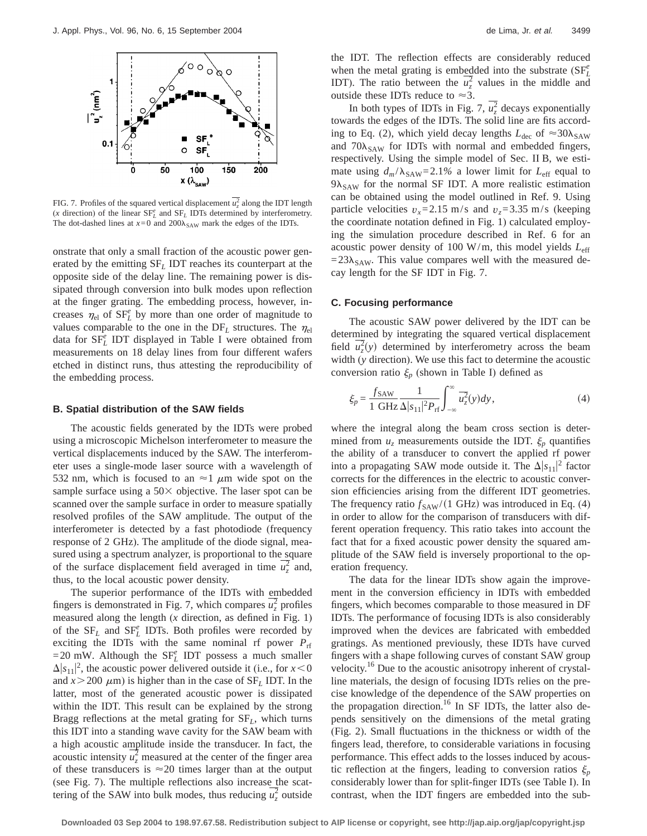

FIG. 7. Profiles of the squared vertical displacement  $\overline{u}_z^2$  along the IDT length  $(x$  direction) of the linear  $SF_L^e$  and  $SF_L$  IDTs determined by interferometry. The dot-dashed lines at  $x=0$  and  $200\lambda_{\text{SAW}}$  mark the edges of the IDTs.

onstrate that only a small fraction of the acoustic power generated by the emitting SF*<sup>L</sup>* IDT reaches its counterpart at the opposite side of the delay line. The remaining power is dissipated through conversion into bulk modes upon reflection at the finger grating. The embedding process, however, increases  $\eta_{el}$  of  $SF_L^e$  by more than one order of magnitude to values comparable to the one in the  $DF_L$  structures. The  $\eta_{el}$ data for  $SF<sup>e</sup><sub>L</sub>$  IDT displayed in Table I were obtained from measurements on 18 delay lines from four different wafers etched in distinct runs, thus attesting the reproducibility of the embedding process.

## **B. Spatial distribution of the SAW fields**

The acoustic fields generated by the IDTs were probed using a microscopic Michelson interferometer to measure the vertical displacements induced by the SAW. The interferometer uses a single-mode laser source with a wavelength of 532 nm, which is focused to an  $\approx$ 1  $\mu$ m wide spot on the sample surface using a  $50\times$  objective. The laser spot can be scanned over the sample surface in order to measure spatially resolved profiles of the SAW amplitude. The output of the interferometer is detected by a fast photodiode (frequency response of 2 GHz). The amplitude of the diode signal, measured using a spectrum analyzer, is proportional to the square of the surface displacement field averaged in time  $\overline{u_z^2}$  and, thus, to the local acoustic power density.

The superior performance of the IDTs with embedded fingers is demonstrated in Fig. 7, which compares  $\overline{u_z^2}$  profiles measured along the length (*x* direction, as defined in Fig. 1) of the  $SF_L$  and  $SF_L^e$  IDTs. Both profiles were recorded by exciting the IDTs with the same nominal rf power  $P_{\text{rf}}$  $=20$  mW. Although the SF<sub>L</sub><sup>e</sup> IDT possess a much smaller  $\Delta |s_{11}|^2$ , the acoustic power delivered outside it (i.e., for  $x < 0$ and  $x > 200 \mu m$ ) is higher than in the case of  $SF<sub>L</sub> IDT$ . In the latter, most of the generated acoustic power is dissipated within the IDT. This result can be explained by the strong Bragg reflections at the metal grating for SF*L*, which turns this IDT into a standing wave cavity for the SAW beam with a high acoustic amplitude inside the transducer. In fact, the acoustic intensity  $\overline{u_z^2}$  measured at the center of the finger area of these transducers is  $\approx$  20 times larger than at the output (see Fig. 7). The multiple reflections also increase the scattering of the SAW into bulk modes, thus reducing  $\overline{u_z^2}$  outside

the IDT. The reflection effects are considerably reduced when the metal grating is embedded into the substrate  $(SF_L^e)$ IDT). The ratio between the  $\overline{u_z^2}$  values in the middle and outside these IDTs reduce to  $\approx$ 3.

In both types of IDTs in Fig. 7,  $\overline{u_z^2}$  decays exponentially towards the edges of the IDTs. The solid line are fits according to Eq. (2), which yield decay lengths  $L_{\text{dec}}$  of  $\approx 30\lambda_{\text{SAW}}$ and  $70\lambda_{SAW}$  for IDTs with normal and embedded fingers, respectively. Using the simple model of Sec. II B, we estimate using  $d_m/\lambda_{SAW} = 2.1\%$  a lower limit for  $L_{eff}$  equal to  $9\lambda_{SAW}$  for the normal SF IDT. A more realistic estimation can be obtained using the model outlined in Ref. 9. Using particle velocities  $v_x = 2.15$  m/s and  $v_z = 3.35$  m/s (keeping the coordinate notation defined in Fig. 1) calculated employing the simulation procedure described in Ref. 6 for an acoustic power density of 100 W/m, this model yields *L*eff  $=23\lambda_{SAW}$ . This value compares well with the measured decay length for the SF IDT in Fig. 7.

#### **C. Focusing performance**

The acoustic SAW power delivered by the IDT can be determined by integrating the squared vertical displacement field  $\overline{u}_z^2(y)$  determined by interferometry across the beam width (*y* direction). We use this fact to determine the acoustic conversion ratio  $\xi_p$  (shown in Table I) defined as

$$
\xi_p = \frac{f_{\text{SAW}}}{1 \text{ GHz}} \frac{1}{\Delta |s_{11}|^2 P_{\text{rf}}} \int_{-\infty}^{\infty} \overline{u_z^2}(y) dy,\tag{4}
$$

where the integral along the beam cross section is determined from  $u_z$  measurements outside the IDT.  $\xi_p$  quantifies the ability of a transducer to convert the applied rf power into a propagating SAW mode outside it. The  $\Delta |s_{11}|^2$  factor corrects for the differences in the electric to acoustic conversion efficiencies arising from the different IDT geometries. The frequency ratio  $f_{SAW}/(1 \text{ GHz})$  was introduced in Eq. (4) in order to allow for the comparison of transducers with different operation frequency. This ratio takes into account the fact that for a fixed acoustic power density the squared amplitude of the SAW field is inversely proportional to the operation frequency.

The data for the linear IDTs show again the improvement in the conversion efficiency in IDTs with embedded fingers, which becomes comparable to those measured in DF IDTs. The performance of focusing IDTs is also considerably improved when the devices are fabricated with embedded gratings. As mentioned previously, these IDTs have curved fingers with a shape following curves of constant SAW group velocity.16 Due to the acoustic anisotropy inherent of crystalline materials, the design of focusing IDTs relies on the precise knowledge of the dependence of the SAW properties on the propagation direction.<sup>16</sup> In SF IDTs, the latter also depends sensitively on the dimensions of the metal grating (Fig. 2). Small fluctuations in the thickness or width of the fingers lead, therefore, to considerable variations in focusing performance. This effect adds to the losses induced by acoustic reflection at the fingers, leading to conversion ratios  $\xi_p$ considerably lower than for split-finger IDTs (see Table I). In contrast, when the IDT fingers are embedded into the sub